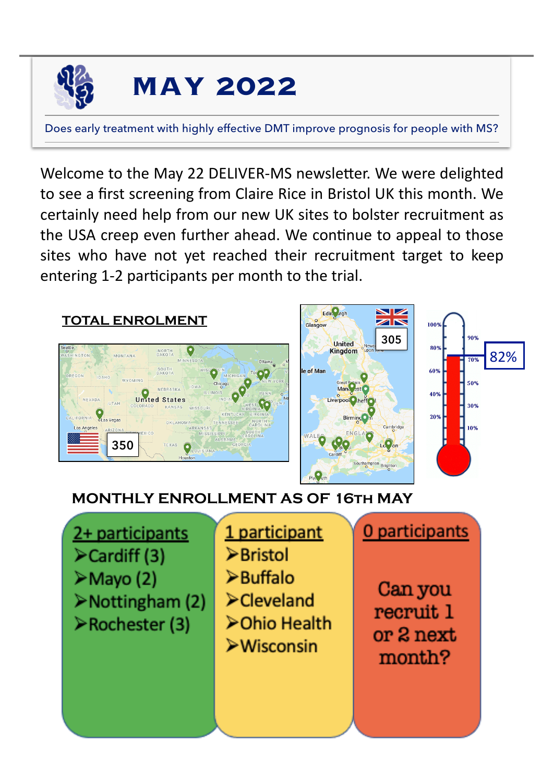

## **MAY 2022**

Does early treatment with highly effective DMT improve prognosis for people with MS?

Welcome to the May 22 DELIVER-MS newsletter. We were delighted to see a first screening from Claire Rice in Bristol UK this month. We certainly need help from our new UK sites to bolster recruitment as the USA creep even further ahead. We continue to appeal to those sites who have not yet reached their recruitment target to keep entering 1-2 participants per month to the trial.



## **MONTHLY ENROLLMENT AS OF 16th MAY**

2+ participants ≻Cardiff (3)  $\triangleright$  Mayo (2) >Nottingham (2) ≻Rochester (3)

1 participant >Bristol  $\triangleright$  Buffalo  $\blacktriangleright$ Cleveland **≻Ohio Health**  $\triangleright$ Wisconsin

Can you recruit 1 or 2 next month?

0 participants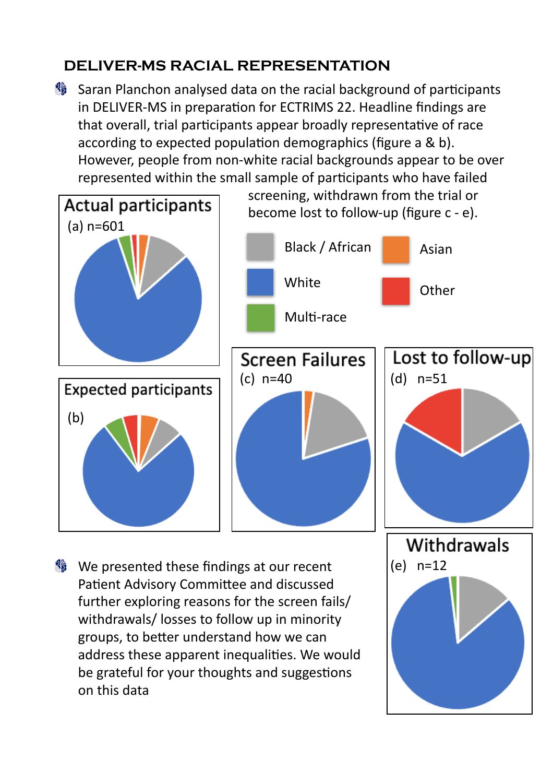## **DELIVER-MS RACIAL REPRESENTATION**

Saran Planchon analysed data on the racial background of participants in DELIVER-MS in preparation for ECTRIMS 22. Headline findings are that overall, trial participants appear broadly representative of race according to expected population demographics (figure a & b). However, people from non-white racial backgrounds appear to be over represented within the small sample of participants who have failed